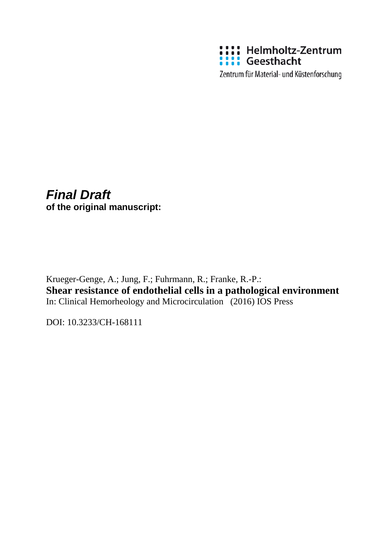

Zentrum für Material- und Küstenforschung

# *Final Draft* **of the original manuscript:**

Krueger-Genge, A.; Jung, F.; Fuhrmann, R.; Franke, R.-P.: **Shear resistance of endothelial cells in a pathological environment** In: Clinical Hemorheology and Microcirculation (2016) IOS Press

DOI: 10.3233/CH-168111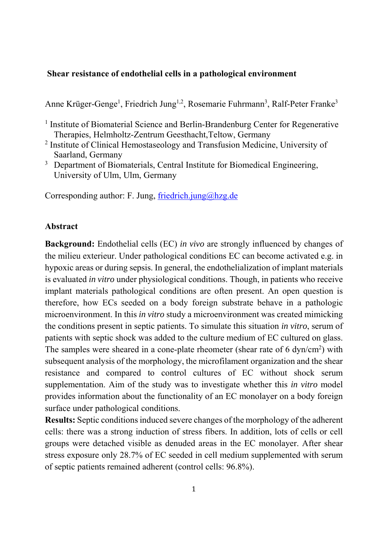### **Shear resistance of endothelial cells in a pathological environment**

Anne Krüger-Genge<sup>1</sup>, Friedrich Jung<sup>1,2</sup>, Rosemarie Fuhrmann<sup>3</sup>, Ralf-Peter Franke<sup>3</sup>

<sup>1</sup> Institute of Biomaterial Science and Berlin-Brandenburg Center for Regenerative Therapies, Helmholtz-Zentrum Geesthacht,Teltow, Germany

- <sup>2</sup> Institute of Clinical Hemostaseology and Transfusion Medicine, University of Saarland, Germany
- <sup>3</sup> Department of Biomaterials, Central Institute for Biomedical Engineering, University of Ulm, Ulm, Germany

Corresponding author: F. Jung, friedrich.jung@hzg.de

#### **Abstract**

**Background:** Endothelial cells (EC) *in vivo* are strongly influenced by changes of the milieu exterieur. Under pathological conditions EC can become activated e.g. in hypoxic areas or during sepsis. In general, the endothelialization of implant materials is evaluated *in vitro* under physiological conditions. Though, in patients who receive implant materials pathological conditions are often present. An open question is therefore, how ECs seeded on a body foreign substrate behave in a pathologic microenvironment. In this *in vitro* study a microenvironment was created mimicking the conditions present in septic patients. To simulate this situation *in vitro*, serum of patients with septic shock was added to the culture medium of EC cultured on glass. The samples were sheared in a cone-plate rheometer (shear rate of  $6 \text{ dyn/cm}^2$ ) with subsequent analysis of the morphology, the microfilament organization and the shear resistance and compared to control cultures of EC without shock serum supplementation. Aim of the study was to investigate whether this *in vitro* model provides information about the functionality of an EC monolayer on a body foreign surface under pathological conditions.

**Results:** Septic conditions induced severe changes of the morphology of the adherent cells: there was a strong induction of stress fibers. In addition, lots of cells or cell groups were detached visible as denuded areas in the EC monolayer. After shear stress exposure only 28.7% of EC seeded in cell medium supplemented with serum of septic patients remained adherent (control cells: 96.8%).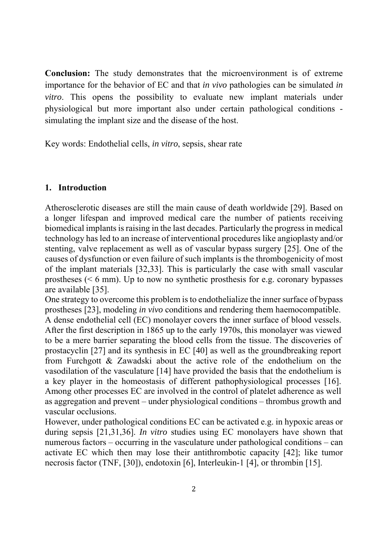**Conclusion:** The study demonstrates that the microenvironment is of extreme importance for the behavior of EC and that *in vivo* pathologies can be simulated *in vitro*. This opens the possibility to evaluate new implant materials under physiological but more important also under certain pathological conditions simulating the implant size and the disease of the host.

Key words: Endothelial cells, *in vitro*, sepsis, shear rate

### **1. Introduction**

Atherosclerotic diseases are still the main cause of death worldwide [29]. Based on a longer lifespan and improved medical care the number of patients receiving biomedical implants is raising in the last decades. Particularly the progress in medical technology has led to an increase of interventional procedures like angioplasty and/or stenting, valve replacement as well as of vascular bypass surgery [25]. One of the causes of dysfunction or even failure of such implants is the thrombogenicity of most of the implant materials [32,33]. This is particularly the case with small vascular prostheses (< 6 mm). Up to now no synthetic prosthesis for e.g. coronary bypasses are available [35].

One strategy to overcome this problem is to endothelialize the inner surface of bypass prostheses [23], modeling *in vivo* conditions and rendering them haemocompatible. A dense endothelial cell (EC) monolayer covers the inner surface of blood vessels. After the first description in 1865 up to the early 1970s, this monolayer was viewed to be a mere barrier separating the blood cells from the tissue. The discoveries of prostacyclin [27] and its synthesis in EC [40] as well as the groundbreaking report from Furchgott & Zawadski about the active role of the endothelium on the vasodilation of the vasculature [14] have provided the basis that the endothelium is a key player in the homeostasis of different pathophysiological processes [16]. Among other processes EC are involved in the control of platelet adherence as well as aggregation and prevent – under physiological conditions – thrombus growth and vascular occlusions.

However, under pathological conditions EC can be activated e.g. in hypoxic areas or during sepsis [21,31,36]. *In vitro* studies using EC monolayers have shown that numerous factors – occurring in the vasculature under pathological conditions – can activate EC which then may lose their antithrombotic capacity [42]; like tumor necrosis factor (TNF, [30]), endotoxin [6], Interleukin-1 [4], or thrombin [15].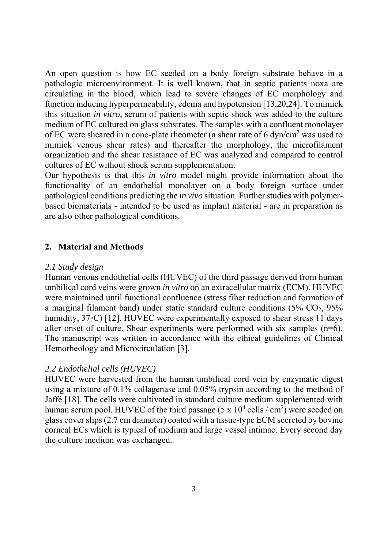An open question is how EC seeded on a body foreign substrate behave in a pathologic microenvironment. It is well known, that in septic patients noxa are circulating in the blood, which lead to severe changes of EC morphology and function inducing hyperpermeability, edema and hypotension [13,20,24]. To mimick this situation *in vitro*, serum of patients with septic shock was added to the culture medium of EC cultured on glass substrates. The samples with a confluent monolayer of EC were sheared in a cone-plate rheometer (a shear rate of 6 dyn/cm<sup>2</sup> was used to mimick venous shear rates) and thereafter the morphology, the microfilament organization and the shear resistance of EC was analyzed and compared to control cultures of EC without shock serum supplementation.

Our hypothesis is that this *in vitro* model might provide information about the functionality of an endothelial monolayer on a body foreign surface under pathological conditions predicting the *in vivo* situation. Further studies with polymerbased biomaterials - intended to be used as implant material - are in preparation as are also other pathological conditions.

### **2. Material and Methods**

#### *2.1 Study design*

Human venous endothelial cells (HUVEC) of the third passage derived from human umbilical cord veins were grown *in vitro* on an extracellular matrix (ECM). HUVEC were maintained until functional confluence (stress fiber reduction and formation of a marginal filament band) under static standard culture conditions  $(5\%$  CO<sub>2</sub>,  $95\%$ humidity, 37◦C) [12]. HUVEC were experimentally exposed to shear stress 11 days after onset of culture. Shear experiments were performed with six samples (n=6). The manuscript was written in accordance with the ethical guidelines of Clinical Hemorheology and Microcirculation [3].

#### *2.2 Endothelial cells (HUVEC)*

HUVEC were harvested from the human umbilical cord vein by enzymatic digest using a mixture of 0.1% collagenase and 0.05% trypsin according to the method of Jaffé [18]. The cells were cultivated in standard culture medium supplemented with human serum pool. HUVEC of the third passage  $(5 \times 10^4 \text{ cells} / \text{cm}^2)$  were seeded on glass cover slips (2.7 cm diameter) coated with a tissue-type ECM secreted by bovine corneal ECs which is typical of medium and large vessel intimae. Every second day the culture medium was exchanged.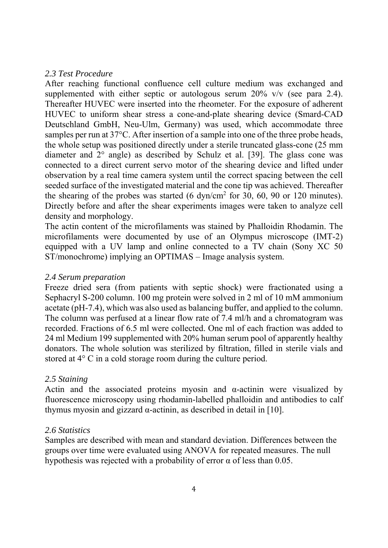#### *2.3 Test Procedure*

After reaching functional confluence cell culture medium was exchanged and supplemented with either septic or autologous serum 20% v/v (see para 2.4). Thereafter HUVEC were inserted into the rheometer. For the exposure of adherent HUVEC to uniform shear stress a cone-and-plate shearing device (Smard-CAD Deutschland GmbH, Neu-Ulm, Germany) was used, which accommodate three samples per run at 37°C. After insertion of a sample into one of the three probe heads, the whole setup was positioned directly under a sterile truncated glass-cone (25 mm diameter and 2° angle) as described by Schulz et al. [39]. The glass cone was connected to a direct current servo motor of the shearing device and lifted under observation by a real time camera system until the correct spacing between the cell seeded surface of the investigated material and the cone tip was achieved. Thereafter the shearing of the probes was started  $(6 \text{ dyn/cm}^2 \text{ for } 30, 60, 90 \text{ or } 120 \text{ minutes}).$ Directly before and after the shear experiments images were taken to analyze cell density and morphology.

The actin content of the microfilaments was stained by Phalloidin Rhodamin. The microfilaments were documented by use of an Olympus microscope (IMT-2) equipped with a UV lamp and online connected to a TV chain (Sony XC 50 ST/monochrome) implying an OPTIMAS – Image analysis system.

## *2.4 Serum preparation*

Freeze dried sera (from patients with septic shock) were fractionated using a Sephacryl S-200 column. 100 mg protein were solved in 2 ml of 10 mM ammonium acetate (pH-7.4), which was also used as balancing buffer, and applied to the column. The column was perfused at a linear flow rate of 7.4 ml/h and a chromatogram was recorded. Fractions of 6.5 ml were collected. One ml of each fraction was added to 24 ml Medium 199 supplemented with 20% human serum pool of apparently healthy donators. The whole solution was sterilized by filtration, filled in sterile vials and stored at 4° C in a cold storage room during the culture period.

## *2.5 Staining*

Actin and the associated proteins myosin and  $\alpha$ -actinin were visualized by fluorescence microscopy using rhodamin-labelled phalloidin and antibodies to calf thymus myosin and gizzard  $\alpha$ -actinin, as described in detail in [10].

## *2.6 Statistics*

Samples are described with mean and standard deviation. Differences between the groups over time were evaluated using ANOVA for repeated measures. The null hypothesis was rejected with a probability of error  $\alpha$  of less than 0.05.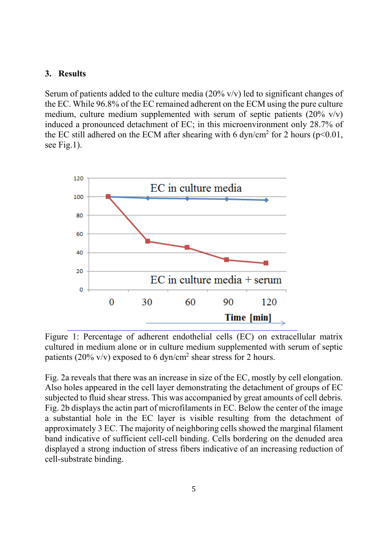### **3. Results**

Serum of patients added to the culture media  $(20\% \text{ v/v})$  led to significant changes of the EC. While 96.8% of the EC remained adherent on the ECM using the pure culture medium, culture medium supplemented with serum of septic patients  $(20\%$  v/v) induced a pronounced detachment of EC; in this microenvironment only 28.7% of the EC still adhered on the ECM after shearing with 6 dyn/cm<sup>2</sup> for 2 hours ( $p$ <0.01, see Fig.1).



Figure 1: Percentage of adherent endothelial cells (EC) on extracellular matrix cultured in medium alone or in culture medium supplemented with serum of septic patients (20% v/v) exposed to 6 dyn/cm<sup>2</sup> shear stress for 2 hours.

Fig. 2a reveals that there was an increase in size of the EC, mostly by cell elongation. Also holes appeared in the cell layer demonstrating the detachment of groups of EC subjected to fluid shear stress. This was accompanied by great amounts of cell debris. Fig. 2b displays the actin part of microfilaments in EC. Below the center of the image a substantial hole in the EC layer is visible resulting from the detachment of approximately 3 EC. The majority of neighboring cells showed the marginal filament band indicative of sufficient cell-cell binding. Cells bordering on the denuded area displayed a strong induction of stress fibers indicative of an increasing reduction of cell-substrate binding.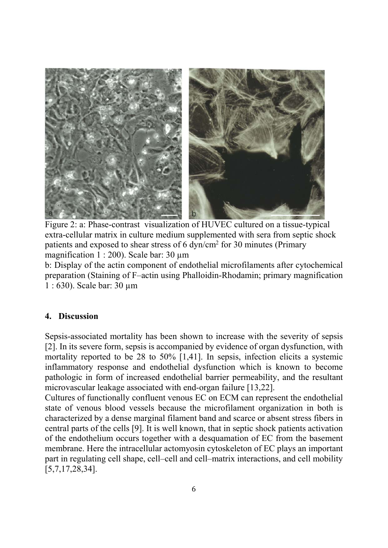

Figure 2: a: Phase-contrast visualization of HUVEC cultured on a tissue-typical extra-cellular matrix in culture medium supplemented with sera from septic shock patients and exposed to shear stress of 6  $dyn/cm<sup>2</sup>$  for 30 minutes (Primary magnification 1 : 200). Scale bar: 30  $\mu$ m

b: Display of the actin component of endothelial microfilaments after cytochemical preparation (Staining of F–actin using Phalloidin-Rhodamin; primary magnification 1 : 630). Scale bar: 30 µm

## **4. Discussion**

Sepsis-associated mortality has been shown to increase with the severity of sepsis [2]. In its severe form, sepsis is accompanied by evidence of organ dysfunction, with mortality reported to be 28 to 50% [1,41]. In sepsis, infection elicits a systemic inflammatory response and endothelial dysfunction which is known to become pathologic in form of increased endothelial barrier permeability, and the resultant microvascular leakage associated with end-organ failure [13,22].

Cultures of functionally confluent venous EC on ECM can represent the endothelial state of venous blood vessels because the microfilament organization in both is characterized by a dense marginal filament band and scarce or absent stress fibers in central parts of the cells [9]. It is well known, that in septic shock patients activation of the endothelium occurs together with a desquamation of EC from the basement membrane. Here the intracellular actomyosin cytoskeleton of EC plays an important part in regulating cell shape, cell–cell and cell–matrix interactions, and cell mobility [5,7,17,28,34].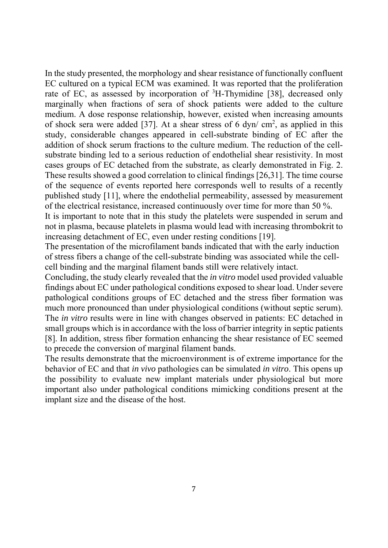In the study presented, the morphology and shear resistance of functionally confluent EC cultured on a typical ECM was examined. It was reported that the proliferation rate of EC, as assessed by incorporation of  ${}^{3}H$ -Thymidine [38], decreased only marginally when fractions of sera of shock patients were added to the culture medium. A dose response relationship, however, existed when increasing amounts of shock sera were added [37]. At a shear stress of 6 dyn/  $\text{cm}^2$ , as applied in this study, considerable changes appeared in cell-substrate binding of EC after the addition of shock serum fractions to the culture medium. The reduction of the cellsubstrate binding led to a serious reduction of endothelial shear resistivity. In most cases groups of EC detached from the substrate, as clearly demonstrated in Fig. 2. These results showed a good correlation to clinical findings [26,31]. The time course of the sequence of events reported here corresponds well to results of a recently published study [11], where the endothelial permeability, assessed by measurement of the electrical resistance, increased continuously over time for more than 50 %.

It is important to note that in this study the platelets were suspended in serum and not in plasma, because platelets in plasma would lead with increasing thrombokrit to increasing detachment of EC, even under resting conditions [19].

The presentation of the microfilament bands indicated that with the early induction of stress fibers a change of the cell-substrate binding was associated while the cellcell binding and the marginal filament bands still were relatively intact.

Concluding, the study clearly revealed that the *in vitro* model used provided valuable findings about EC under pathological conditions exposed to shear load. Under severe pathological conditions groups of EC detached and the stress fiber formation was much more pronounced than under physiological conditions (without septic serum). The *in vitro* results were in line with changes observed in patients: EC detached in small groups which is in accordance with the loss of barrier integrity in septic patients [8]. In addition, stress fiber formation enhancing the shear resistance of EC seemed to precede the conversion of marginal filament bands.

The results demonstrate that the microenvironment is of extreme importance for the behavior of EC and that *in vivo* pathologies can be simulated *in vitro*. This opens up the possibility to evaluate new implant materials under physiological but more important also under pathological conditions mimicking conditions present at the implant size and the disease of the host.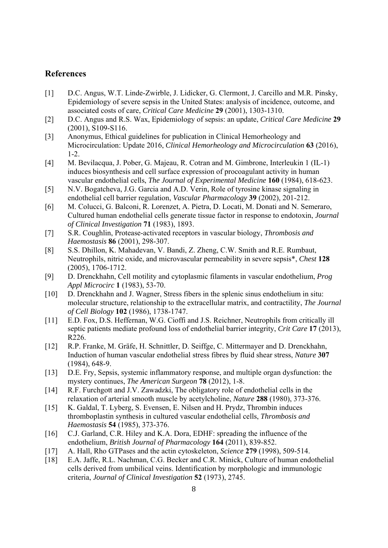#### **References**

- [1] D.C. Angus, W.T. Linde-Zwirble, J. Lidicker, G. Clermont, J. Carcillo and M.R. Pinsky, Epidemiology of severe sepsis in the United States: analysis of incidence, outcome, and associated costs of care, *Critical Care Medicine* **29** (2001), 1303-1310.
- [2] D.C. Angus and R.S. Wax, Epidemiology of sepsis: an update, *Critical Care Medicine* **29** (2001), S109-S116.
- [3] Anonymus, Ethical guidelines for publication in Clinical Hemorheology and Microcirculation: Update 2016, *Clinical Hemorheology and Microcirculation* **63** (2016),  $1 - 2$ .
- [4] M. Bevilacqua, J. Pober, G. Majeau, R. Cotran and M. Gimbrone, Interleukin 1 (IL-1) induces biosynthesis and cell surface expression of procoagulant activity in human vascular endothelial cells, *The Journal of Experimental Medicine* **160** (1984), 618-623.
- [5] N.V. Bogatcheva, J.G. Garcia and A.D. Verin, Role of tyrosine kinase signaling in endothelial cell barrier regulation, *Vascular Pharmacology* **39** (2002), 201-212.
- [6] M. Colucci, G. Balconi, R. Lorenzet, A. Pietra, D. Locati, M. Donati and N. Semeraro, Cultured human endothelial cells generate tissue factor in response to endotoxin, *Journal of Clinical Investigation* **71** (1983), 1893.
- [7] S.R. Coughlin, Protease-activated receptors in vascular biology, *Thrombosis and Haemostasis* **86** (2001), 298-307.
- [8] S.S. Dhillon, K. Mahadevan, V. Bandi, Z. Zheng, C.W. Smith and R.E. Rumbaut, Neutrophils, nitric oxide, and microvascular permeability in severe sepsis\*, *Chest* **128** (2005), 1706-1712.
- [9] D. Drenckhahn, Cell motility and cytoplasmic filaments in vascular endothelium, *Prog Appl Microcirc* **1** (1983), 53-70.
- [10] D. Drenckhahn and J. Wagner, Stress fibers in the splenic sinus endothelium in situ: molecular structure, relationship to the extracellular matrix, and contractility, *The Journal of Cell Biology* **102** (1986), 1738-1747.
- [11] E.D. Fox, D.S. Heffernan, W.G. Cioffi and J.S. Reichner, Neutrophils from critically ill septic patients mediate profound loss of endothelial barrier integrity, *Crit Care* **17** (2013), R226.
- [12] R.P. Franke, M. Gräfe, H. Schnittler, D. Seiffge, C. Mittermayer and D. Drenckhahn, Induction of human vascular endothelial stress fibres by fluid shear stress, *Nature* **307** (1984), 648-9.
- [13] D.E. Fry, Sepsis, systemic inflammatory response, and multiple organ dysfunction: the mystery continues, *The American Surgeon* **78** (2012), 1-8.
- [14] R.F. Furchgott and J.V. Zawadzki, The obligatory role of endothelial cells in the relaxation of arterial smooth muscle by acetylcholine, *Nature* **288** (1980), 373-376.
- [15] K. Galdal, T. Lyberg, S. Evensen, E. Nilsen and H. Prydz, Thrombin induces thromboplastin synthesis in cultured vascular endothelial cells, *Thrombosis and Haemostasis* **54** (1985), 373-376.
- [16] C.J. Garland, C.R. Hiley and K.A. Dora, EDHF: spreading the influence of the endothelium, *British Journal of Pharmacology* **164** (2011), 839-852.
- [17] A. Hall, Rho GTPases and the actin cytoskeleton, *Science* **279** (1998), 509-514.
- [18] E.A. Jaffe, R.L. Nachman, C.G. Becker and C.R. Minick, Culture of human endothelial cells derived from umbilical veins. Identification by morphologic and immunologic criteria, *Journal of Clinical Investigation* **52** (1973), 2745.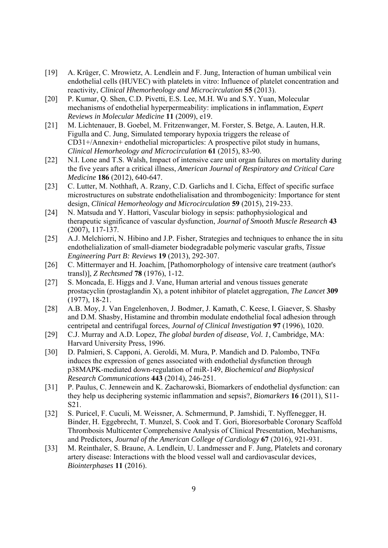- [19] A. Krüger, C. Mrowietz, A. Lendlein and F. Jung, Interaction of human umbilical vein endothelial cells (HUVEC) with platelets in vitro: Influence of platelet concentration and reactivity, *Clinical Hhemorheology and Microcirculation* **55** (2013).
- [20] P. Kumar, Q. Shen, C.D. Pivetti, E.S. Lee, M.H. Wu and S.Y. Yuan, Molecular mechanisms of endothelial hyperpermeability: implications in inflammation, *Expert Reviews in Molecular Medicine* **11** (2009), e19.
- [21] M. Lichtenauer, B. Goebel, M. Fritzenwanger, M. Forster, S. Betge, A. Lauten, H.R. Figulla and C. Jung, Simulated temporary hypoxia triggers the release of CD31+/Annexin+ endothelial microparticles: A prospective pilot study in humans, *Clinical Hemorheology and Microcirculation* **61** (2015), 83-90.
- [22] N.I. Lone and T.S. Walsh, Impact of intensive care unit organ failures on mortality during the five years after a critical illness, *American Journal of Respiratory and Critical Care Medicine* **186** (2012), 640-647.
- [23] C. Lutter, M. Nothhaft, A. Rzany, C.D. Garlichs and I. Cicha, Effect of specific surface microstructures on substrate endothelialisation and thrombogenicity: Importance for stent design, *Clinical Hemorheology and Microcirculation* **59** (2015), 219-233.
- [24] N. Matsuda and Y. Hattori, Vascular biology in sepsis: pathophysiological and therapeutic significance of vascular dysfunction, *Journal of Smooth Muscle Research* **43** (2007), 117-137.
- [25] A.J. Melchiorri, N. Hibino and J.P. Fisher, Strategies and techniques to enhance the in situ endothelialization of small-diameter biodegradable polymeric vascular grafts, *Tissue Engineering Part B: Reviews* **19** (2013), 292-307.
- [26] C. Mittermayer and H. Joachim, [Pathomorphology of intensive care treatment (author's transl)], *Z Rechtsmed* **78** (1976), 1-12.
- [27] S. Moncada, E. Higgs and J. Vane, Human arterial and venous tissues generate prostacyclin (prostaglandin X), a potent inhibitor of platelet aggregation, *The Lancet* **309** (1977), 18-21.
- [28] A.B. Moy, J. Van Engelenhoven, J. Bodmer, J. Kamath, C. Keese, I. Giaever, S. Shasby and D.M. Shasby, Histamine and thrombin modulate endothelial focal adhesion through centripetal and centrifugal forces, *Journal of Clinical Investigation* **97** (1996), 1020.
- [29] C.J. Murray and A.D. Lopez, *The global burden of disease, Vol. 1*, Cambridge, MA: Harvard University Press, 1996.
- [30] D. Palmieri, S. Capponi, A. Geroldi, M. Mura, P. Mandich and D. Palombo, TNFα induces the expression of genes associated with endothelial dysfunction through p38MAPK-mediated down-regulation of miR-149, *Biochemical and Biophysical Research Communications* **443** (2014), 246-251.
- [31] P. Paulus, C. Jennewein and K. Zacharowski, Biomarkers of endothelial dysfunction: can they help us deciphering systemic inflammation and sepsis?, *Biomarkers* **16** (2011), S11- S21.
- [32] S. Puricel, F. Cuculi, M. Weissner, A. Schmermund, P. Jamshidi, T. Nyffenegger, H. Binder, H. Eggebrecht, T. Munzel, S. Cook and T. Gori, Bioresorbable Coronary Scaffold Thrombosis Multicenter Comprehensive Analysis of Clinical Presentation, Mechanisms, and Predictors, *Journal of the American College of Cardiology* **67** (2016), 921-931.
- [33] M. Reinthaler, S. Braune, A. Lendlein, U. Landmesser and F. Jung, Platelets and coronary artery disease: Interactions with the blood vessel wall and cardiovascular devices, *Biointerphases* **11** (2016).